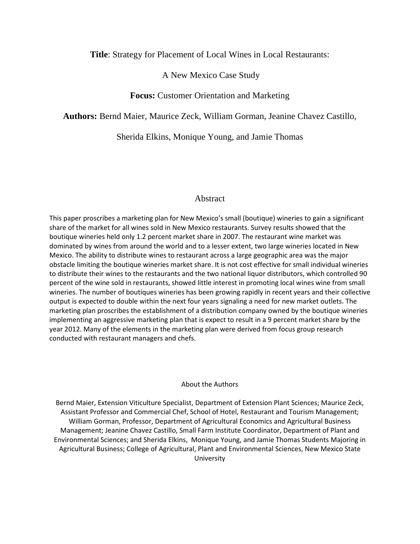## **Title**: Strategy for Placement of Local Wines in Local Restaurants:

## A New Mexico Case Study

# **Focus:** Customer Orientation and Marketing

**Authors:** Bernd Maier, Maurice Zeck, William Gorman, Jeanine Chavez Castillo,

Sherida Elkins, Monique Young, and Jamie Thomas

## Abstract

This paper proscribes a marketing plan for New Mexico's small (boutique) wineries to gain a significant share of the market for all wines sold in New Mexico restaurants. Survey results showed that the boutique wineries held only 1.2 percent market share in 2007. The restaurant wine market was dominated by wines from around the world and to a lesser extent, two large wineries located in New Mexico. The ability to distribute wines to restaurant across a large geographic area was the major obstacle limiting the boutique wineries market share. It is not cost effective for small individual wineries to distribute their wines to the restaurants and the two national liquor distributors, which controlled 90 percent of the wine sold in restaurants, showed little interest in promoting local wines wine from small wineries. The number of boutiques wineries has been growing rapidly in recent years and their collective output is expected to double within the next four years signaling a need for new market outlets. The marketing plan proscribes the establishment of a distribution company owned by the boutique wineries implementing an aggressive marketing plan that is expect to result in a 9 percent market share by the year 2012. Many of the elements in the marketing plan were derived from focus group research conducted with restaurant managers and chefs.

#### About the Authors

Bernd Maier, Extension Viticulture Specialist, Department of Extension Plant Sciences; Maurice Zeck, Assistant Professor and Commercial Chef, School of Hotel, Restaurant and Tourism Management; William Gorman, Professor, Department of Agricultural Economics and Agricultural Business Management; Jeanine Chavez Castillo, Small Farm Institute Coordinator, Department of Plant and Environmental Sciences; and Sherida Elkins, Monique Young, and Jamie Thomas Students Majoring in Agricultural Business; College of Agricultural, Plant and Environmental Sciences, New Mexico State University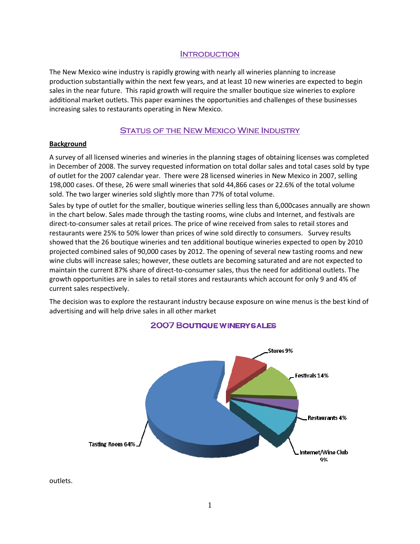## **INTRODUCTION**

The New Mexico wine industry is rapidly growing with nearly all wineries planning to increase production substantially within the next few years, and at least 10 new wineries are expected to begin sales in the near future. This rapid growth will require the smaller boutique size wineries to explore additional market outlets. This paper examines the opportunities and challenges of these businesses increasing sales to restaurants operating in New Mexico.

# STATUS OF THE NEW MEXICO WINE INDUSTRY

#### **Background**

A survey of all licensed wineries and wineries in the planning stages of obtaining licenses was completed in December of 2008. The survey requested information on total dollar sales and total cases sold by type of outlet for the 2007 calendar year. There were 28 licensed wineries in New Mexico in 2007, selling 198,000 cases. Of these, 26 were small wineries that sold 44,866 cases or 22.6% of the total volume sold. The two larger wineries sold slightly more than 77% of total volume.

Sales by type of outlet for the smaller, boutique wineries selling less than 6,000cases annually are shown in the chart below. Sales made through the tasting rooms, wine clubs and Internet, and festivals are direct-to-consumer sales at retail prices. The price of wine received from sales to retail stores and restaurants were 25% to 50% lower than prices of wine sold directly to consumers. Survey results showed that the 26 boutique wineries and ten additional boutique wineries expected to open by 2010 projected combined sales of 90,000 cases by 2012. The opening of several new tasting rooms and new wine clubs will increase sales; however, these outlets are becoming saturated and are not expected to maintain the current 87% share of direct-to-consumer sales, thus the need for additional outlets. The growth opportunities are in sales to retail stores and restaurants which account for only 9 and 4% of current sales respectively.

The decision was to explore the restaurant industry because exposure on wine menus is the best kind of advertising and will help drive sales in all other market



# **2007 BOUTIQUE WINERY SALES**

outlets.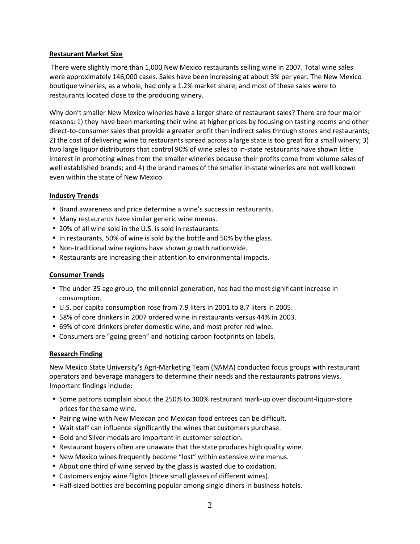#### Restaurant Market Size

 There were slightly more than 1,000 New Mexico restaurants selling wine in 2007. Total wine sales were approximately 146,000 cases. Sales have been increasing at about 3% per year. The New Mexico boutique wineries, as a whole, had only a 1.2% market share, and most of these sales were to restaurants located close to the producing winery.

Why don't smaller New Mexico wineries have a larger share of restaurant sales? There are four major reasons: 1) they have been marketing their wine at higher prices by focusing on tasting rooms and other direct-to-consumer sales that provide a greater profit than indirect sales through stores and restaurants; 2) the cost of delivering wine to restaurants spread across a large state is too great for a small winery; 3) two large liquor distributors that control 90% of wine sales to in-state restaurants have shown little interest in promoting wines from the smaller wineries because their profits come from volume sales of well established brands; and 4) the brand names of the smaller in-state wineries are not well known even within the state of New Mexico.

## Industry Trends

- Brand awareness and price determine a wine's success in restaurants.
- Many restaurants have similar generic wine menus.
- 20% of all wine sold in the U.S. is sold in restaurants.
- In restaurants, 50% of wine is sold by the bottle and 50% by the glass.
- Non-traditional wine regions have shown growth nationwide.
- Restaurants are increasing their attention to environmental impacts.

#### Consumer Trends

- The under-35 age group, the millennial generation, has had the most significant increase in consumption.
- U.S. per capita consumption rose from 7.9 liters in 2001 to 8.7 liters in 2005.
- 58% of core drinkers in 2007 ordered wine in restaurants versus 44% in 2003.
- 69% of core drinkers prefer domestic wine, and most prefer red wine.
- Consumers are "going green" and noticing carbon footprints on labels.

#### Research Finding

New Mexico State University's Agri-Marketing Team (NAMA) conducted focus groups with restaurant operators and beverage managers to determine their needs and the restaurants patrons views. Important findings include:

- Some patrons complain about the 250% to 300% restaurant mark-up over discount-liquor-store prices for the same wine.
- Pairing wine with New Mexican and Mexican food entrees can be difficult.
- Wait staff can influence significantly the wines that customers purchase.
- Gold and Silver medals are important in customer selection.
- Restaurant buyers often are unaware that the state produces high quality wine.
- New Mexico wines frequently become "lost" within extensive wine menus.
- About one third of wine served by the glass is wasted due to oxidation.
- Customers enjoy wine flights (three small glasses of different wines).
- Half-sized bottles are becoming popular among single diners in business hotels.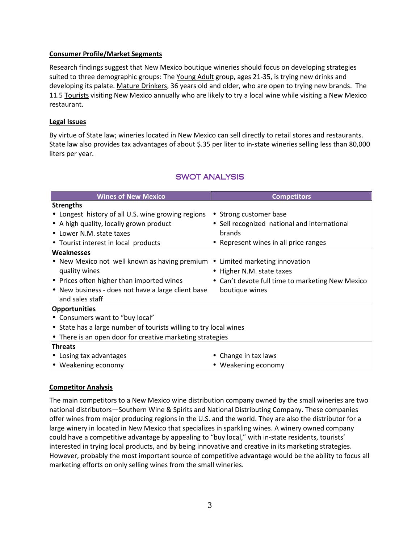## Consumer Profile/Market Segments

Research findings suggest that New Mexico boutique wineries should focus on developing strategies suited to three demographic groups: The Young Adult group, ages 21-35, is trying new drinks and developing its palate. Mature Drinkers, 36 years old and older, who are open to trying new brands. The 11.5 Tourists visiting New Mexico annually who are likely to try a local wine while visiting a New Mexico restaurant.

## Legal Issues

By virtue of State law; wineries located in New Mexico can sell directly to retail stores and restaurants. State law also provides tax advantages of about \$.35 per liter to in-state wineries selling less than 80,000 liters per year.

# SWOT ANALYSIS

| <b>Wines of New Mexico</b>                                                   | <b>Competitors</b>                               |  |  |  |  |
|------------------------------------------------------------------------------|--------------------------------------------------|--|--|--|--|
| <b>Strengths</b>                                                             |                                                  |  |  |  |  |
| • Longest history of all U.S. wine growing regions                           | • Strong customer base                           |  |  |  |  |
| $\bullet$ A high quality, locally grown product                              | • Sell recognized national and international     |  |  |  |  |
| • Lower N.M. state taxes                                                     | brands                                           |  |  |  |  |
| • Tourist interest in local products                                         | • Represent wines in all price ranges            |  |  |  |  |
| Weaknesses                                                                   |                                                  |  |  |  |  |
| • New Mexico not well known as having premium • Limited marketing innovation |                                                  |  |  |  |  |
| quality wines                                                                | • Higher N.M. state taxes                        |  |  |  |  |
| $\bullet$ Prices often higher than imported wines                            | • Can't devote full time to marketing New Mexico |  |  |  |  |
| $\bullet$ New business - does not have a large client base                   | boutique wines                                   |  |  |  |  |
| and sales staff                                                              |                                                  |  |  |  |  |
| <b>Opportunities</b>                                                         |                                                  |  |  |  |  |
| • Consumers want to "buy local"                                              |                                                  |  |  |  |  |
| $\bullet$ State has a large number of tourists willing to try local wines    |                                                  |  |  |  |  |
| $\bullet$ There is an open door for creative marketing strategies            |                                                  |  |  |  |  |
| <b>Threats</b>                                                               |                                                  |  |  |  |  |
| $\bullet$ Losing tax advantages                                              | • Change in tax laws                             |  |  |  |  |
| $\bullet$ Weakening economy                                                  | • Weakening economy                              |  |  |  |  |

## Competitor Analysis

The main competitors to a New Mexico wine distribution company owned by the small wineries are two national distributors—Southern Wine & Spirits and National Distributing Company. These companies offer wines from major producing regions in the U.S. and the world. They are also the distributor for a large winery in located in New Mexico that specializes in sparkling wines. A winery owned company could have a competitive advantage by appealing to "buy local," with in-state residents, tourists' interested in trying local products, and by being innovative and creative in its marketing strategies. However, probably the most important source of competitive advantage would be the ability to focus all marketing efforts on only selling wines from the small wineries.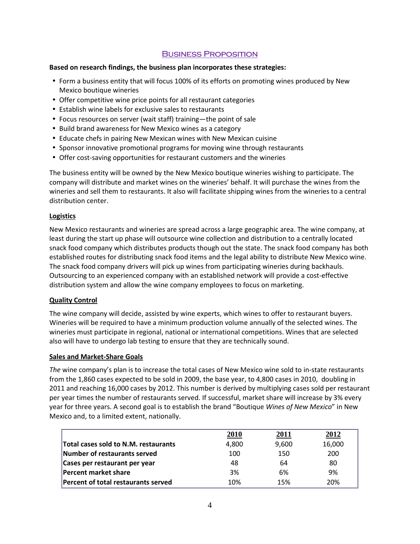## Business Proposition

#### Based on research findings, the business plan incorporates these strategies:

- Form a business entity that will focus 100% of its efforts on promoting wines produced by New Mexico boutique wineries
- Offer competitive wine price points for all restaurant categories
- Establish wine labels for exclusive sales to restaurants
- Focus resources on server (wait staff) training—the point of sale
- Build brand awareness for New Mexico wines as a category
- Educate chefs in pairing New Mexican wines with New Mexican cuisine
- Sponsor innovative promotional programs for moving wine through restaurants
- Offer cost-saving opportunities for restaurant customers and the wineries

The business entity will be owned by the New Mexico boutique wineries wishing to participate. The company will distribute and market wines on the wineries' behalf. It will purchase the wines from the wineries and sell them to restaurants. It also will facilitate shipping wines from the wineries to a central distribution center.

#### **Logistics**

New Mexico restaurants and wineries are spread across a large geographic area. The wine company, at least during the start up phase will outsource wine collection and distribution to a centrally located snack food company which distributes products though out the state. The snack food company has both established routes for distributing snack food items and the legal ability to distribute New Mexico wine. The snack food company drivers will pick up wines from participating wineries during backhauls. Outsourcing to an experienced company with an established network will provide a cost-effective distribution system and allow the wine company employees to focus on marketing.

#### Quality Control

The wine company will decide, assisted by wine experts, which wines to offer to restaurant buyers. Wineries will be required to have a minimum production volume annually of the selected wines. The wineries must participate in regional, national or international competitions. Wines that are selected also will have to undergo lab testing to ensure that they are technically sound.

#### Sales and Market-Share Goals

The wine company's plan is to increase the total cases of New Mexico wine sold to in-state restaurants from the 1,860 cases expected to be sold in 2009, the base year, to 4,800 cases in 2010, doubling in 2011 and reaching 16,000 cases by 2012. This number is derived by multiplying cases sold per restaurant per year times the number of restaurants served. If successful, market share will increase by 3% every year for three years. A second goal is to establish the brand "Boutique Wines of New Mexico" in New Mexico and, to a limited extent, nationally.

|                                             | <u>2010</u> | 2011  | 2012   |
|---------------------------------------------|-------------|-------|--------|
| <b>Total cases sold to N.M. restaurants</b> | 4,800       | 9,600 | 16,000 |
| Number of restaurants served                | 100         | 150   | 200    |
| Cases per restaurant per year               | 48          | 64    | 80     |
| <b>Percent market share</b>                 | 3%          | 6%    | 9%     |
| <b>Percent of total restaurants served</b>  | 10%         | 15%   | 20%    |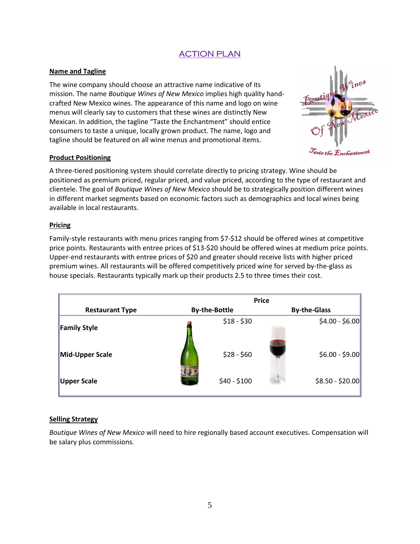# ACTION PLAN

## Name and Tagline

The wine company should choose an attractive name indicative of its mission. The name Boutique Wines of New Mexico implies high quality handcrafted New Mexico wines. The appearance of this name and logo on wine menus will clearly say to customers that these wines are distinctly New Mexican. In addition, the tagline "Taste the Enchantment" should entice consumers to taste a unique, locally grown product. The name, logo and tagline should be featured on all wine menus and promotional items.



#### Product Positioning

A three-tiered positioning system should correlate directly to pricing strategy. Wine should be positioned as premium priced, regular priced, and value priced, according to the type of restaurant and clientele. The goal of Boutique Wines of New Mexico should be to strategically position different wines in different market segments based on economic factors such as demographics and local wines being available in local restaurants.

#### Pricing

Family-style restaurants with menu prices ranging from \$7-\$12 should be offered wines at competitive price points. Restaurants with entree prices of \$13-\$20 should be offered wines at medium price points. Upper-end restaurants with entree prices of \$20 and greater should receive lists with higher priced premium wines. All restaurants will be offered competitively priced wine for served by-the-glass as house specials. Restaurants typically mark up their products 2.5 to three times their cost.

|                        | <b>Price</b>         |                     |  |  |
|------------------------|----------------------|---------------------|--|--|
| <b>Restaurant Type</b> | <b>By-the-Bottle</b> | <b>By-the-Glass</b> |  |  |
| Family Style           | $$18 - $30$          | $$4.00 - $6.00$     |  |  |
| Mid-Upper Scale        | $$28 - $60$          | $$6.00 - $9.00$     |  |  |
| Upper Scale            | $$40 - $100$         | $$8.50 - $20.00$    |  |  |

#### **Selling Strategy**

Boutique Wines of New Mexico will need to hire regionally based account executives. Compensation will be salary plus commissions.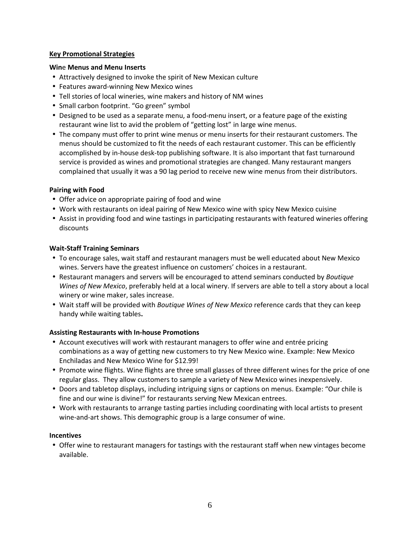## Key Promotional Strategies

### Wine Menus and Menu Inserts

- Attractively designed to invoke the spirit of New Mexican culture
- Features award-winning New Mexico wines
- Tell stories of local wineries, wine makers and history of NM wines
- Small carbon footprint. "Go green" symbol
- Designed to be used as a separate menu, a food-menu insert, or a feature page of the existing restaurant wine list to avid the problem of "getting lost" in large wine menus.
- The company must offer to print wine menus or menu inserts for their restaurant customers. The menus should be customized to fit the needs of each restaurant customer. This can be efficiently accomplished by in-house desk-top publishing software. It is also important that fast turnaround service is provided as wines and promotional strategies are changed. Many restaurant mangers complained that usually it was a 90 lag period to receive new wine menus from their distributors.

## Pairing with Food

- Offer advice on appropriate pairing of food and wine
- Work with restaurants on ideal pairing of New Mexico wine with spicy New Mexico cuisine
- Assist in providing food and wine tastings in participating restaurants with featured wineries offering discounts

## Wait-Staff Training Seminars

- To encourage sales, wait staff and restaurant managers must be well educated about New Mexico wines. Servers have the greatest influence on customers' choices in a restaurant.
- Restaurant managers and servers will be encouraged to attend seminars conducted by Boutique Wines of New Mexico, preferably held at a local winery. If servers are able to tell a story about a local winery or wine maker, sales increase.
- Wait staff will be provided with Boutique Wines of New Mexico reference cards that they can keep handy while waiting tables.

## Assisting Restaurants with In-house Promotions

- Account executives will work with restaurant managers to offer wine and entrée pricing combinations as a way of getting new customers to try New Mexico wine. Example: New Mexico Enchiladas and New Mexico Wine for \$12.99!
- Promote wine flights. Wine flights are three small glasses of three different wines for the price of one regular glass. They allow customers to sample a variety of New Mexico wines inexpensively.
- Doors and tabletop displays, including intriguing signs or captions on menus. Example: "Our chile is fine and our wine is divine!" for restaurants serving New Mexican entrees.
- Work with restaurants to arrange tasting parties including coordinating with local artists to present wine-and-art shows. This demographic group is a large consumer of wine.

## **Incentives**

• Offer wine to restaurant managers for tastings with the restaurant staff when new vintages become available.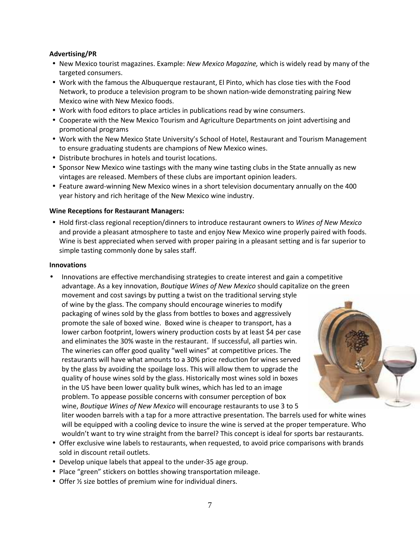#### Advertising/PR

- New Mexico tourist magazines. Example: New Mexico Magazine, which is widely read by many of the targeted consumers.
- Work with the famous the Albuquerque restaurant, El Pinto, which has close ties with the Food Network, to produce a television program to be shown nation-wide demonstrating pairing New Mexico wine with New Mexico foods.
- Work with food editors to place articles in publications read by wine consumers.
- Cooperate with the New Mexico Tourism and Agriculture Departments on joint advertising and promotional programs
- Work with the New Mexico State University's School of Hotel, Restaurant and Tourism Management to ensure graduating students are champions of New Mexico wines.
- Distribute brochures in hotels and tourist locations.
- Sponsor New Mexico wine tastings with the many wine tasting clubs in the State annually as new vintages are released. Members of these clubs are important opinion leaders.
- Feature award-winning New Mexico wines in a short television documentary annually on the 400 year history and rich heritage of the New Mexico wine industry.

#### Wine Receptions for Restaurant Managers:

• Hold first-class regional reception/dinners to introduce restaurant owners to Wines of New Mexico and provide a pleasant atmosphere to taste and enjoy New Mexico wine properly paired with foods. Wine is best appreciated when served with proper pairing in a pleasant setting and is far superior to simple tasting commonly done by sales staff.

#### Innovations

• Innovations are effective merchandising strategies to create interest and gain a competitive advantage. As a key innovation, Boutique Wines of New Mexico should capitalize on the green movement and cost savings by putting a twist on the traditional serving style of wine by the glass. The company should encourage wineries to modify packaging of wines sold by the glass from bottles to boxes and aggressively promote the sale of boxed wine. Boxed wine is cheaper to transport, has a lower carbon footprint, lowers winery production costs by at least \$4 per case and eliminates the 30% waste in the restaurant. If successful, all parties win. The wineries can offer good quality "well wines" at competitive prices. The restaurants will have what amounts to a 30% price reduction for wines served by the glass by avoiding the spoilage loss. This will allow them to upgrade the quality of house wines sold by the glass. Historically most wines sold in boxes in the US have been lower quality bulk wines, which has led to an image problem. To appease possible concerns with consumer perception of box wine, Boutique Wines of New Mexico will encourage restaurants to use 3 to 5



liter wooden barrels with a tap for a more attractive presentation. The barrels used for white wines will be equipped with a cooling device to insure the wine is served at the proper temperature. Who wouldn't want to try wine straight from the barrel? This concept is ideal for sports bar restaurants.

- Offer exclusive wine labels to restaurants, when requested, to avoid price comparisons with brands sold in discount retail outlets.
- Develop unique labels that appeal to the under-35 age group.
- Place "green" stickers on bottles showing transportation mileage.
- Offer ½ size bottles of premium wine for individual diners.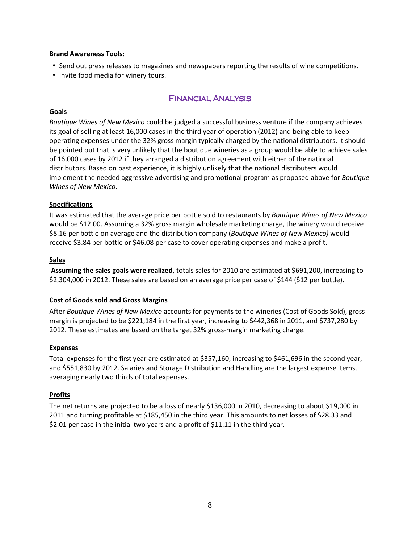#### Brand Awareness Tools:

- Send out press releases to magazines and newspapers reporting the results of wine competitions.
- Invite food media for winery tours.

# Financial Analysis

#### Goals

Boutique Wines of New Mexico could be judged a successful business venture if the company achieves its goal of selling at least 16,000 cases in the third year of operation (2012) and being able to keep operating expenses under the 32% gross margin typically charged by the national distributors. It should be pointed out that is very unlikely that the boutique wineries as a group would be able to achieve sales of 16,000 cases by 2012 if they arranged a distribution agreement with either of the national distributors. Based on past experience, it is highly unlikely that the national distributers would implement the needed aggressive advertising and promotional program as proposed above for Boutique Wines of New Mexico.

#### **Specifications**

It was estimated that the average price per bottle sold to restaurants by Boutique Wines of New Mexico would be \$12.00. Assuming a 32% gross margin wholesale marketing charge, the winery would receive \$8.16 per bottle on average and the distribution company (Boutique Wines of New Mexico) would receive \$3.84 per bottle or \$46.08 per case to cover operating expenses and make a profit.

#### **Sales**

 Assuming the sales goals were realized, totals sales for 2010 are estimated at \$691,200, increasing to \$2,304,000 in 2012. These sales are based on an average price per case of \$144 (\$12 per bottle).

#### Cost of Goods sold and Gross Margins

After Boutique Wines of New Mexico accounts for payments to the wineries (Cost of Goods Sold), gross margin is projected to be \$221,184 in the first year, increasing to \$442,368 in 2011, and \$737,280 by 2012. These estimates are based on the target 32% gross-margin marketing charge.

#### **Expenses**

Total expenses for the first year are estimated at \$357,160, increasing to \$461,696 in the second year, and \$551,830 by 2012. Salaries and Storage Distribution and Handling are the largest expense items, averaging nearly two thirds of total expenses.

#### **Profits**

The net returns are projected to be a loss of nearly \$136,000 in 2010, decreasing to about \$19,000 in 2011 and turning profitable at \$185,450 in the third year. This amounts to net losses of \$28.33 and \$2.01 per case in the initial two years and a profit of \$11.11 in the third year.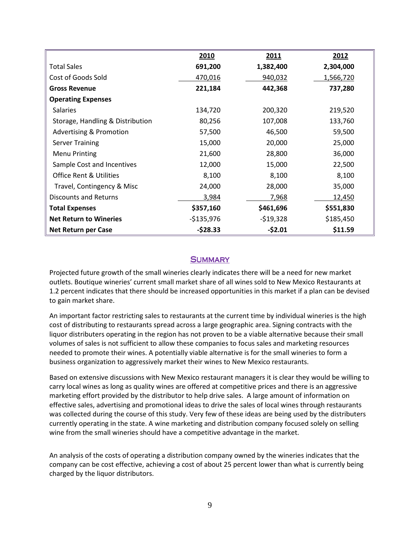|                                    | 2010        | 2011       | 2012      |
|------------------------------------|-------------|------------|-----------|
| <b>Total Sales</b>                 | 691,200     | 1,382,400  | 2,304,000 |
| Cost of Goods Sold                 | 470,016     | 940,032    | 1,566,720 |
| <b>Gross Revenue</b>               | 221,184     | 442,368    | 737,280   |
| <b>Operating Expenses</b>          |             |            |           |
| <b>Salaries</b>                    | 134,720     | 200,320    | 219,520   |
| Storage, Handling & Distribution   | 80,256      | 107,008    | 133,760   |
| <b>Advertising &amp; Promotion</b> | 57,500      | 46,500     | 59,500    |
| <b>Server Training</b>             | 15,000      | 20,000     | 25,000    |
| <b>Menu Printing</b>               | 21,600      | 28,800     | 36,000    |
| Sample Cost and Incentives         | 12,000      | 15,000     | 22,500    |
| <b>Office Rent &amp; Utilities</b> | 8,100       | 8,100      | 8,100     |
| Travel, Contingency & Misc         | 24,000      | 28,000     | 35,000    |
| <b>Discounts and Returns</b>       | 3,984       | 7,968      | 12,450    |
| <b>Total Expenses</b>              | \$357,160   | \$461,696  | \$551,830 |
| <b>Net Return to Wineries</b>      | $-$135,976$ | $-$19,328$ | \$185,450 |
| <b>Net Return per Case</b>         | $-528.33$   | $-52.01$   | \$11.59   |

# **SUMMARY**

Projected future growth of the small wineries clearly indicates there will be a need for new market outlets. Boutique wineries' current small market share of all wines sold to New Mexico Restaurants at 1.2 percent indicates that there should be increased opportunities in this market if a plan can be devised to gain market share.

An important factor restricting sales to restaurants at the current time by individual wineries is the high cost of distributing to restaurants spread across a large geographic area. Signing contracts with the liquor distributers operating in the region has not proven to be a viable alternative because their small volumes of sales is not sufficient to allow these companies to focus sales and marketing resources needed to promote their wines. A potentially viable alternative is for the small wineries to form a business organization to aggressively market their wines to New Mexico restaurants.

Based on extensive discussions with New Mexico restaurant managers it is clear they would be willing to carry local wines as long as quality wines are offered at competitive prices and there is an aggressive marketing effort provided by the distributor to help drive sales. A large amount of information on effective sales, advertising and promotional ideas to drive the sales of local wines through restaurants was collected during the course of this study. Very few of these ideas are being used by the distributers currently operating in the state. A wine marketing and distribution company focused solely on selling wine from the small wineries should have a competitive advantage in the market.

An analysis of the costs of operating a distribution company owned by the wineries indicates that the company can be cost effective, achieving a cost of about 25 percent lower than what is currently being charged by the liquor distributors.